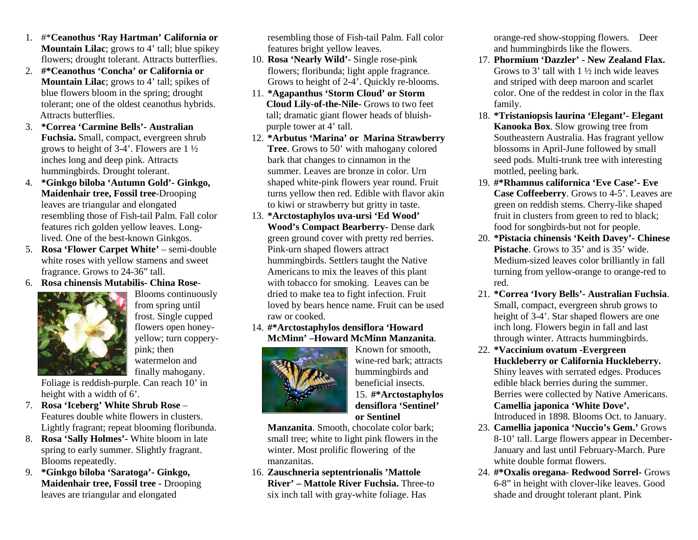- 1. #\***Ceanothus 'Ray Hartman' California or Mountain Lilac**; grows to 4' tall; blue spikeyflowers; drought tolerant. Attracts butterflies.
- 2. **#\*Ceanothus 'Concha' or California or Mountain Lilac**; grows to 4' tall; spikes ofblue flowers bloom in the spring; drought tolerant; one of the oldest ceanothus hybrids.Attracts butterflies.
- 3. **\*Correa 'Carmine Bells'- Australian Fuchsia.** Small, compact, evergreen shrubgrows to height of 3-4'. Flowers are 1 ½inches long and deep pink. Attractshummingbirds. Drought tolerant.
- 4. **\*Ginkgo biloba 'Autumn Gold'- Ginkgo, Maidenhair tree, Fossil tree**-Droopingleaves are triangular and elongated resembling those of Fish-tail Palm. Fall colorfeatures rich golden yellow leaves. Longlived. One of the best-known Ginkgos.
- 5. **Rosa 'Flower Carpet White'**  semi-doublewhite roses with yellow stamens and sweetfragrance. Grows to 24-36" tall.
- 6. **Rosa chinensis Mutabilis- China Rose**-



 Blooms continuouslyfrom spring until frost. Single cupped flowers open honeyyellow; turn copperypink; then watermelon andfinally mahogany.

 Foliage is reddish-purple. Can reach 10' inheight with a width of 6'.

- 7. **Rosa 'Iceberg' White Shrub Rose** – Features double white flowers in clusters.Lightly fragrant; repeat blooming floribunda.
- 8. **Rosa 'Sally Holmes'-** White bloom in late spring to early summer. Slightly fragrant.Blooms repeatedly.
- 9. **\*Ginkgo biloba 'Saratoga'- Ginkgo, Maidenhair tree, Fossil tree -** Droopingleaves are triangular and elongated

resembling those of Fish-tail Palm. Fall colorfeatures bright yellow leaves.

- 10. **Rosa 'Nearly Wild'** Single rose-pink flowers; floribunda; light apple fragrance.Grows to height of 2-4'. Quickly re-blooms.
- 11. **\*Agapanthus 'Storm Cloud' or Storm Cloud Lily-of-the-Nile-** Grows to two feet tall; dramatic giant flower heads of bluishpurple tower at 4' tall.
- 12. **\*Arbutus 'Marina' or Marina StrawberryTree**. Grows to 50' with mahogany coloredbark that changes to cinnamon in the summer. Leaves are bronze in color. Urn shaped white-pink flowers year round. Fruit turns yellow then red. Edible with flavor akinto kiwi or strawberry but gritty in taste.
- 13. **\*Arctostaphylos uva-ursi 'Ed Wood' Wood's Compact Bearberry-** Dense dark green ground cover with pretty red berries.Pink-urn shaped flowers attract hummingbirds. Settlers taught the Native Americans to mix the leaves of this plant with tobacco for smoking. Leaves can be dried to make tea to fight infection. Fruit loved by bears hence name. Fruit can be usedraw or cooked.
- 14. **#\*Arctostaphylos densiflora 'HowardMcMinn' –Howard McMinn Manzanita**.



Known for smooth, wine-red bark; attractshummingbirds and beneficial insects. 15. **#\*Arctostaphylosdensiflora 'Sentinel'or Sentinel**

 **Manzanita**. Smooth, chocolate color bark; small tree; white to light pink flowers in thewinter. Most prolific flowering of themanzanitas.

 16. **Zauschneria septentrionalis 'Mattole River' – Mattole River Fuchsia.** Three-tosix inch tall with gray-white foliage. Has

orange-red show-stopping flowers. Deerand hummingbirds like the flowers.

- 17. **Phormium 'Dazzler' New Zealand Flax.** Grows to 3' tall with  $1\frac{1}{2}$  inch wide leaves and striped with deep maroon and scarlet color. One of the reddest in color in the flaxfamily.
- 18. **\*Tristaniopsis laurina 'Elegant'- ElegantKanooka Box**. Slow growing tree from Southeastern Australia. Has fragrant yellow blossoms in April-June followed by small seed pods. Multi-trunk tree with interestingmottled, peeling bark.
- 19. **#\*Rhamnus californica 'Eve Case'- Eve Case Coffeeberry**. Grows to 4-5'. Leaves aregreen on reddish stems. Cherry-like shaped fruit in clusters from green to red to black;food for songbirds-but not for people.
- 20. **\*Pistacia chinensis 'Keith Davey'- ChinesePistache.** Grows to 35' and is 35' wide. Medium-sized leaves color brilliantly in fall turning from yellow-orange to orange-red tored.
- 21. **\*Correa 'Ivory Bells'- Australian Fuchsia**. Small, compact, evergreen shrub grows to height of 3-4'. Star shaped flowers are oneinch long. Flowers begin in fall and lastthrough winter. Attracts hummingbirds.
- 22. **\*Vaccinium ovatum -Evergreen Huckleberry or California Huckleberry.** Shiny leaves with serrated edges. Producesedible black berries during the summer. Berries were collected by Native Americans.**Camellia japonica 'White Dove'.**Introduced in 1898. Blooms Oct. to January.
- 23. **Camellia japonica 'Nuccio's Gem.'** Grows 8-10' tall. Large flowers appear in December-January and last until February-March. Purewhite double format flowers.
- 24. **#\*Oxalis oregana- Redwood Sorrel-** Grows 6-8" in height with clover-like leaves. Goodshade and drought tolerant plant. Pink